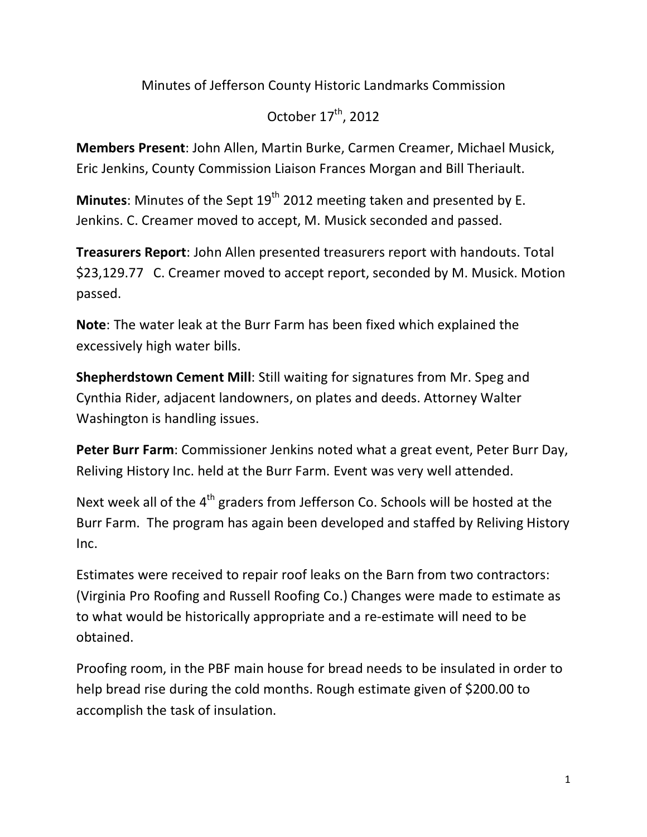Minutes of Jefferson County Historic Landmarks Commission

October  $17^{\text{th}}$ , 2012

**Members Present: John Allen, Martin Burke, Carmen Creamer, Michael Musick,** Eric Jenkins, County Commission Liaison Frances Morgan and Bill Theriault.

**Minutes**: Minutes of the Sept 19<sup>th</sup> 2012 meeting taken and presented by E. Jenkins. C. Creamer moved to accept, M. Musick seconded and passed.

**Treasurers Report:** John Allen presented treasurers report with handouts. Total \$23,129.77 C. Creamer moved to accept report, seconded by M. Musick. Motion passed.

**Note:** The water leak at the Burr Farm has been fixed which explained the excessively high water bills.

**Shepherdstown Cement Mill:** Still waiting for signatures from Mr. Speg and Cynthia Rider, adjacent landowners, on plates and deeds. Attorney Walter Washington is handling issues.

**Peter Burr Farm**: Commissioner Jenkins noted what a great event, Peter Burr Day, Reliving History Inc. held at the Burr Farm. Event was very well attended.

Next week all of the  $4<sup>th</sup>$  graders from Jefferson Co. Schools will be hosted at the Burr Farm. The program has again been developed and staffed by Reliving History Inc.!!

Estimates were received to repair roof leaks on the Barn from two contractors: (Virginia Pro Roofing and Russell Roofing Co.) Changes were made to estimate as to what would be historically appropriate and a re-estimate will need to be obtained.!

Proofing room, in the PBF main house for bread needs to be insulated in order to help bread rise during the cold months. Rough estimate given of \$200.00 to accomplish the task of insulation.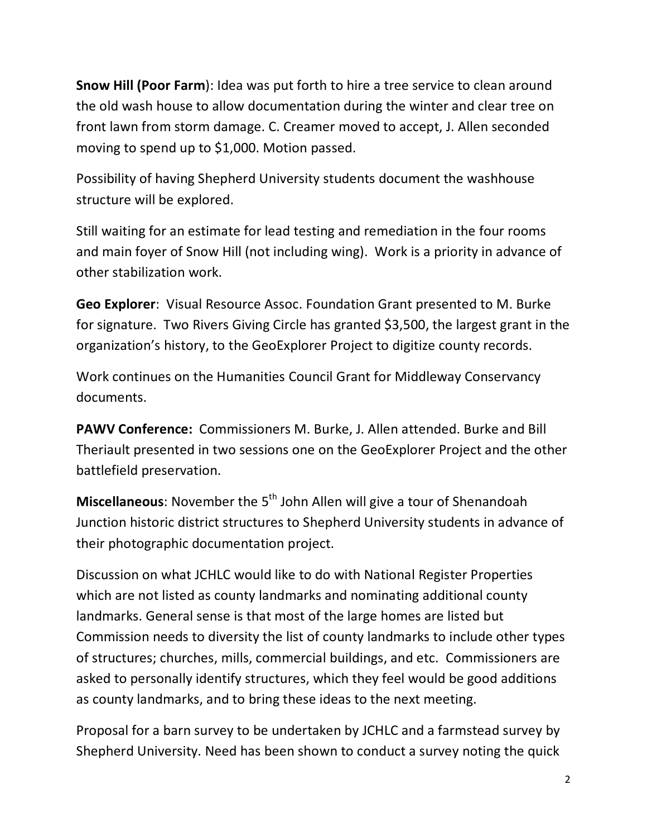**Snow Hill (Poor Farm): Idea was put forth to hire a tree service to clean around** the old wash house to allow documentation during the winter and clear tree on front lawn from storm damage. C. Creamer moved to accept, J. Allen seconded moving to spend up to  $$1,000$ . Motion passed.

Possibility of having Shepherd University students document the washhouse structure will be explored.

Still waiting for an estimate for lead testing and remediation in the four rooms and main foyer of Snow Hill (not including wing). Work is a priority in advance of other stabilization work.

**Geo Explorer:** Visual Resource Assoc. Foundation Grant presented to M. Burke for signature. Two Rivers Giving Circle has granted \$3,500, the largest grant in the organization's history, to the GeoExplorer Project to digitize county records.

Work continues on the Humanities Council Grant for Middleway Conservancy documents.

**PAWV Conference:** Commissioners M. Burke, J. Allen attended. Burke and Bill Theriault presented in two sessions one on the GeoExplorer Project and the other battlefield preservation.

**Miscellaneous**: November the 5<sup>th</sup> John Allen will give a tour of Shenandoah Junction historic district structures to Shepherd University students in advance of their photographic documentation project.

Discussion on what JCHLC would like to do with National Register Properties which are not listed as county landmarks and nominating additional county landmarks. General sense is that most of the large homes are listed but Commission needs to diversity the list of county landmarks to include other types of structures; churches, mills, commercial buildings, and etc. Commissioners are asked to personally identify structures, which they feel would be good additions as county landmarks, and to bring these ideas to the next meeting.

Proposal for a barn survey to be undertaken by JCHLC and a farmstead survey by Shepherd University. Need has been shown to conduct a survey noting the quick